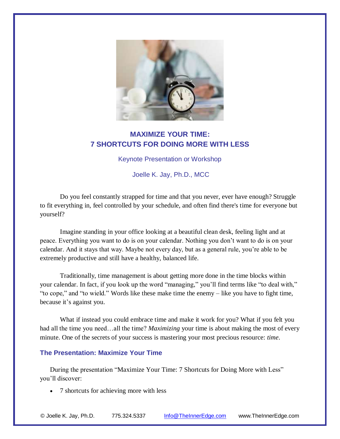

## **MAXIMIZE YOUR TIME: 7 SHORTCUTS FOR DOING MORE WITH LESS**

Keynote Presentation or Workshop

Joelle K. Jay, Ph.D., MCC

Do you feel constantly strapped for time and that you never, ever have enough? Struggle to fit everything in, feel controlled by your schedule, and often find there's time for everyone but yourself?

Imagine standing in your office looking at a beautiful clean desk, feeling light and at peace. Everything you want to do is on your calendar. Nothing you don't want to do is on your calendar. And it stays that way. Maybe not every day, but as a general rule, you're able to be extremely productive and still have a healthy, balanced life.

Traditionally, time management is about getting more done in the time blocks within your calendar. In fact, if you look up the word "managing," you'll find terms like "to deal with," "to cope," and "to wield." Words like these make time the enemy – like you have to fight time, because it's against you.

What if instead you could embrace time and make it work for you? What if you felt you had all the time you need…all the time? *Maximizing* your time is about making the most of every minute. One of the secrets of your success is mastering your most precious resource: *time*.

## **The Presentation: Maximize Your Time**

During the presentation "Maximize Your Time: 7 Shortcuts for Doing More with Less" you'll discover:

• 7 shortcuts for achieving more with less